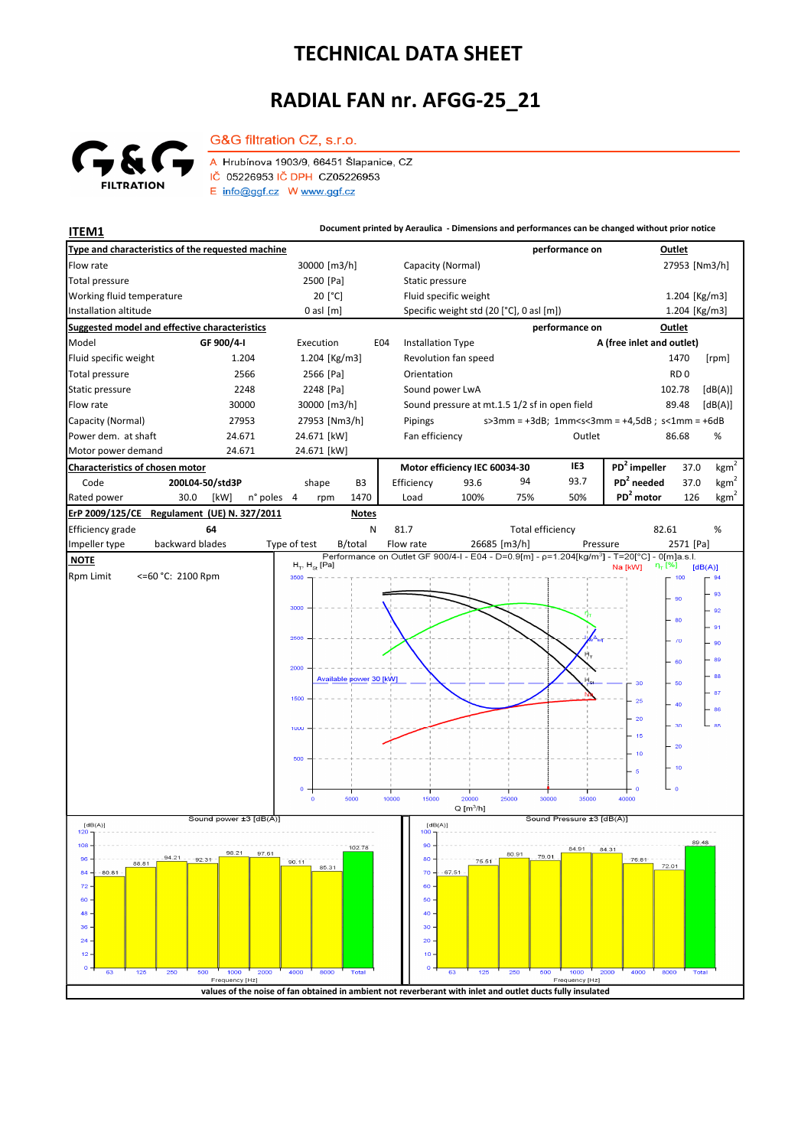## **TECHNICAL DATA SHEET**

## **RADIAL FAN nr. AFGG-25\_21**



A Hrubínova 1903/9, 66451 Šlapanice, CZ IČ 05226953 IČ DPH CZ05226953  $E$  info@ggf.cz W www.ggf.cz

G&G filtration CZ, s.r.o.

**ITEM1 Document printed by Aeraulica** - Dimensions and performances can be changed without prior notice **Type and characteristics of the requested machine performance on Outlet** Flow rate 30000 [m3/h] Capacity (Normal) 27953 [Nm3/h] 30000 [m3/h] 27953 [Nm3/h] 2500 [Pa] Static pressure Total pressure Working fluid temperature [°C] Fluid specific weight 1.204 [Kg/m3] Installation altitude 0 asl [m] Specific weight std (20 [°C], 0 asl [m]) Specific weight std (20 [°C], 0 asl [m]) 1.204 [Kg/m3] **Suggested model and effective characteristics performance on Outlet** Model **GF 900/4-I** Execution E04 Installation Type **A (free inlet and outlet)** Fluid specific weight 1.204 1.204 [Kg/m3] Revolution fan speed 1470 [rpm] Total pressure 2566 2566 [Pa] Orientation **RD** 0 Static pressure 2248 2248 [Pa] Sound power LwA 102.78 [dB(A)] Flow rate 30000 30000 30000 [m3/h] Sound pressure at mt.1.5 1/2 sf in open field 89.48 [dB(A)] Capacity (Normal) 27953 27953 [Nm3/h] s>3mm = +3dB; 1mm<s<3mm = +4,5dB ; s<1mm = +6dB Pipings Power dem. at shaft 24.671 24.671 [kW] Fan efficiency **COULLER 1998** Outlet 86.68 % 86.68 Motor power demand 24.671 24.671 [kW] **Characteristics of chosen motor Motor efficiency IEC 60034-30 IE3 PD<sup>2</sup> impeller** 37.0  $kgm<sup>2</sup>$ Code **200L04-50/std3P PD<sup>2</sup> needed** 37.0 shape B3 Efficiency 93.6 94 93.7 kgm n° poles 4 rpm 1470 Load 100% 75% 50% PD<sup>2</sup> motor 126 kgm<sup>2</sup> Rated power 30.0 [kW] n° poles 4 1470 Load 100% 75% 50% **PD<sup>2</sup> ErP 2009/125/CE Regulament (UE) N. 327/2011 Notes** 82.61 Efficiency grade **64** N 81.7 Total efficiency 82.61 % backward blades Impeller type backward blades Type of test B/total Flow rate 26685 [m3/h] Pressure 2571 [Pa]  **NOTE**  $H_T$ ,  $H_{St}$  [Pa]  $[dB(A)]$ Rpm Limit <=60 °C: 2100 Rpm **360** 100 93 **AC**  $92$ 80 91  $\overline{u}$ 90 .<br>er 89 2000 **AR** Available power 30 [kW]  $30$ 60  $-87$ 1500  $26$  $-86$  $\overline{20}$  $\overline{30}$  $\overline{a}$  $\frac{1}{15}$  $\overline{20}$  $\overline{10}$  $\overline{16}$ sono  $10000$  $15000$ 25000 30000  $35000$  $10000$  $Q[m^3/h]$ <u>|</u><br>| Sound power ±3 [dB(A) Sound Pressure ±3 [dB(A)]  $[dB(A)]$ <br>120 T  $[dB(A)]$  $108$ 90 102.78  $\overline{84}$ 97.61 80.91 79.01 80  $96$ 75.51 88.81  $90.11$ 85.31 72.01  $\overline{8}$ 80.81  $7<sup>c</sup>$ 67.51  $\overline{z}$ 60  $60$ 50  $\overline{AB}$  $\overline{40}$  $36$ 30  $\overline{2}$  $\overline{20}$  $\overline{1}$  $10$  $\overline{c}$ Freq y [Hz by [Hz] **values of the noise of fan obtained in ambient not reverberant with inlet and outlet ducts fully insulated**